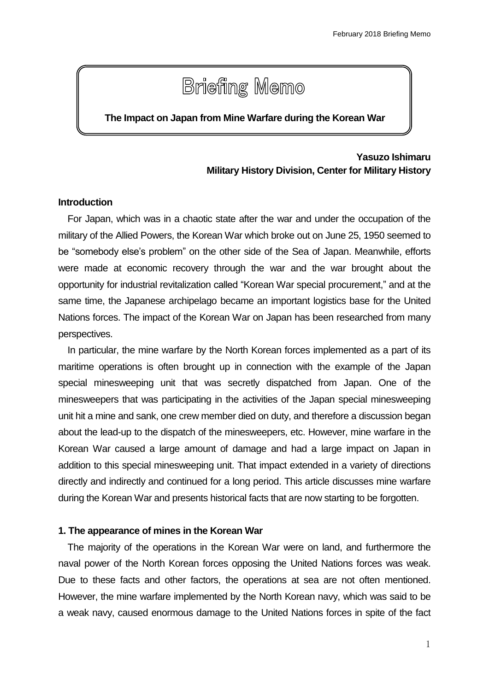# **Briefing Memo**

### **The Impact on Japan from Mine Warfare during the Korean War**

# **Yasuzo Ishimaru Military History Division, Center for Military History**

#### **Introduction**

For Japan, which was in a chaotic state after the war and under the occupation of the military of the Allied Powers, the Korean War which broke out on June 25, 1950 seemed to be "somebody else's problem" on the other side of the Sea of Japan. Meanwhile, efforts were made at economic recovery through the war and the war brought about the opportunity for industrial revitalization called "Korean War special procurement," and at the same time, the Japanese archipelago became an important logistics base for the United Nations forces. The impact of the Korean War on Japan has been researched from many perspectives.

In particular, the mine warfare by the North Korean forces implemented as a part of its maritime operations is often brought up in connection with the example of the Japan special minesweeping unit that was secretly dispatched from Japan. One of the minesweepers that was participating in the activities of the Japan special minesweeping unit hit a mine and sank, one crew member died on duty, and therefore a discussion began about the lead-up to the dispatch of the minesweepers, etc. However, mine warfare in the Korean War caused a large amount of damage and had a large impact on Japan in addition to this special minesweeping unit. That impact extended in a variety of directions directly and indirectly and continued for a long period. This article discusses mine warfare during the Korean War and presents historical facts that are now starting to be forgotten.

#### **1. The appearance of mines in the Korean War**

The majority of the operations in the Korean War were on land, and furthermore the naval power of the North Korean forces opposing the United Nations forces was weak. Due to these facts and other factors, the operations at sea are not often mentioned. However, the mine warfare implemented by the North Korean navy, which was said to be a weak navy, caused enormous damage to the United Nations forces in spite of the fact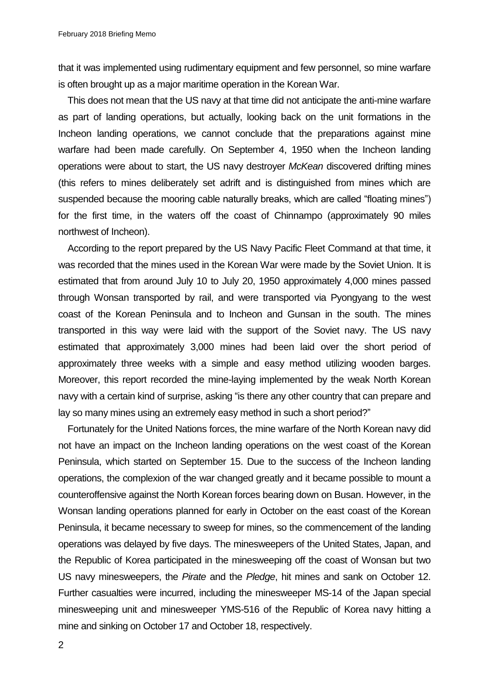that it was implemented using rudimentary equipment and few personnel, so mine warfare is often brought up as a major maritime operation in the Korean War.

This does not mean that the US navy at that time did not anticipate the anti-mine warfare as part of landing operations, but actually, looking back on the unit formations in the Incheon landing operations, we cannot conclude that the preparations against mine warfare had been made carefully. On September 4, 1950 when the Incheon landing operations were about to start, the US navy destroyer *McKean* discovered drifting mines (this refers to mines deliberately set adrift and is distinguished from mines which are suspended because the mooring cable naturally breaks, which are called "floating mines") for the first time, in the waters off the coast of Chinnampo (approximately 90 miles northwest of Incheon).

According to the report prepared by the US Navy Pacific Fleet Command at that time, it was recorded that the mines used in the Korean War were made by the Soviet Union. It is estimated that from around July 10 to July 20, 1950 approximately 4,000 mines passed through Wonsan transported by rail, and were transported via Pyongyang to the west coast of the Korean Peninsula and to Incheon and Gunsan in the south. The mines transported in this way were laid with the support of the Soviet navy. The US navy estimated that approximately 3,000 mines had been laid over the short period of approximately three weeks with a simple and easy method utilizing wooden barges. Moreover, this report recorded the mine-laying implemented by the weak North Korean navy with a certain kind of surprise, asking "is there any other country that can prepare and lay so many mines using an extremely easy method in such a short period?"

Fortunately for the United Nations forces, the mine warfare of the North Korean navy did not have an impact on the Incheon landing operations on the west coast of the Korean Peninsula, which started on September 15. Due to the success of the Incheon landing operations, the complexion of the war changed greatly and it became possible to mount a counteroffensive against the North Korean forces bearing down on Busan. However, in the Wonsan landing operations planned for early in October on the east coast of the Korean Peninsula, it became necessary to sweep for mines, so the commencement of the landing operations was delayed by five days. The minesweepers of the United States, Japan, and the Republic of Korea participated in the minesweeping off the coast of Wonsan but two US navy minesweepers, the *Pirate* and the *Pledge*, hit mines and sank on October 12. Further casualties were incurred, including the minesweeper MS-14 of the Japan special minesweeping unit and minesweeper YMS-516 of the Republic of Korea navy hitting a mine and sinking on October 17 and October 18, respectively.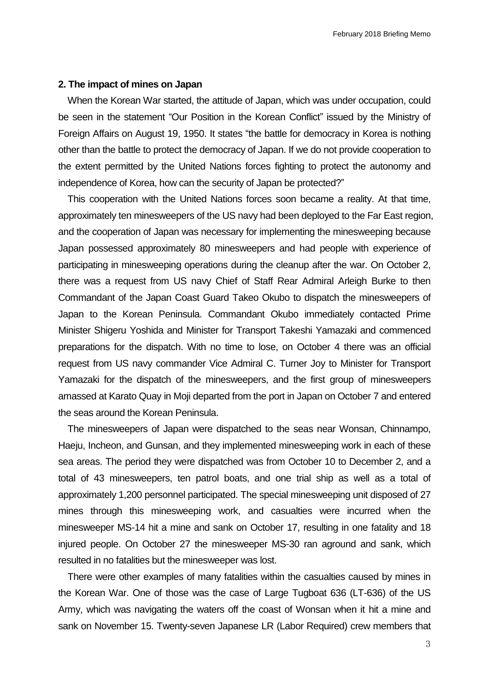#### **2. The impact of mines on Japan**

When the Korean War started, the attitude of Japan, which was under occupation, could be seen in the statement "Our Position in the Korean Conflict" issued by the Ministry of Foreign Affairs on August 19, 1950. It states "the battle for democracy in Korea is nothing other than the battle to protect the democracy of Japan. If we do not provide cooperation to the extent permitted by the United Nations forces fighting to protect the autonomy and independence of Korea, how can the security of Japan be protected?"

This cooperation with the United Nations forces soon became a reality. At that time, approximately ten minesweepers of the US navy had been deployed to the Far East region, and the cooperation of Japan was necessary for implementing the minesweeping because Japan possessed approximately 80 minesweepers and had people with experience of participating in minesweeping operations during the cleanup after the war. On October 2, there was a request from US navy Chief of Staff Rear Admiral Arleigh Burke to then Commandant of the Japan Coast Guard Takeo Okubo to dispatch the minesweepers of Japan to the Korean Peninsula. Commandant Okubo immediately contacted Prime Minister Shigeru Yoshida and Minister for Transport Takeshi Yamazaki and commenced preparations for the dispatch. With no time to lose, on October 4 there was an official request from US navy commander Vice Admiral C. Turner Joy to Minister for Transport Yamazaki for the dispatch of the minesweepers, and the first group of minesweepers amassed at Karato Quay in Moji departed from the port in Japan on October 7 and entered the seas around the Korean Peninsula.

The minesweepers of Japan were dispatched to the seas near Wonsan, Chinnampo, Haeju, Incheon, and Gunsan, and they implemented minesweeping work in each of these sea areas. The period they were dispatched was from October 10 to December 2, and a total of 43 minesweepers, ten patrol boats, and one trial ship as well as a total of approximately 1,200 personnel participated. The special minesweeping unit disposed of 27 mines through this minesweeping work, and casualties were incurred when the minesweeper MS-14 hit a mine and sank on October 17, resulting in one fatality and 18 injured people. On October 27 the minesweeper MS-30 ran aground and sank, which resulted in no fatalities but the minesweeper was lost.

There were other examples of many fatalities within the casualties caused by mines in the Korean War. One of those was the case of Large Tugboat 636 (LT-636) of the US Army, which was navigating the waters off the coast of Wonsan when it hit a mine and sank on November 15. Twenty-seven Japanese LR (Labor Required) crew members that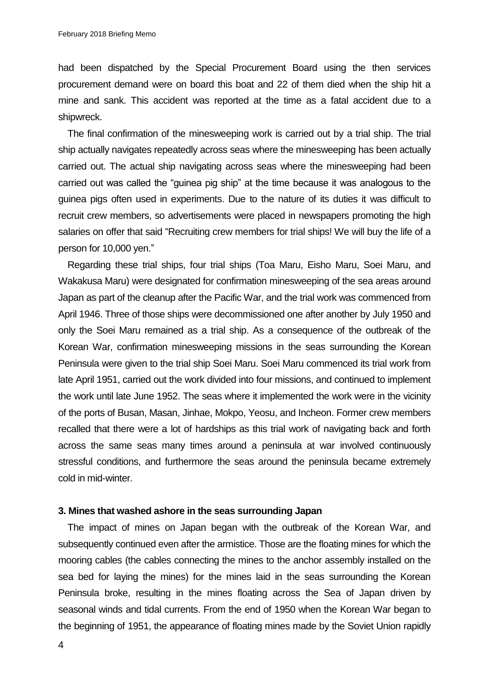had been dispatched by the Special Procurement Board using the then services procurement demand were on board this boat and 22 of them died when the ship hit a mine and sank. This accident was reported at the time as a fatal accident due to a shipwreck.

The final confirmation of the minesweeping work is carried out by a trial ship. The trial ship actually navigates repeatedly across seas where the minesweeping has been actually carried out. The actual ship navigating across seas where the minesweeping had been carried out was called the "guinea pig ship" at the time because it was analogous to the guinea pigs often used in experiments. Due to the nature of its duties it was difficult to recruit crew members, so advertisements were placed in newspapers promoting the high salaries on offer that said "Recruiting crew members for trial ships! We will buy the life of a person for 10,000 yen."

Regarding these trial ships, four trial ships (Toa Maru, Eisho Maru, Soei Maru, and Wakakusa Maru) were designated for confirmation minesweeping of the sea areas around Japan as part of the cleanup after the Pacific War, and the trial work was commenced from April 1946. Three of those ships were decommissioned one after another by July 1950 and only the Soei Maru remained as a trial ship. As a consequence of the outbreak of the Korean War, confirmation minesweeping missions in the seas surrounding the Korean Peninsula were given to the trial ship Soei Maru. Soei Maru commenced its trial work from late April 1951, carried out the work divided into four missions, and continued to implement the work until late June 1952. The seas where it implemented the work were in the vicinity of the ports of Busan, Masan, Jinhae, Mokpo, Yeosu, and Incheon. Former crew members recalled that there were a lot of hardships as this trial work of navigating back and forth across the same seas many times around a peninsula at war involved continuously stressful conditions, and furthermore the seas around the peninsula became extremely cold in mid-winter.

#### **3. Mines that washed ashore in the seas surrounding Japan**

The impact of mines on Japan began with the outbreak of the Korean War, and subsequently continued even after the armistice. Those are the floating mines for which the mooring cables (the cables connecting the mines to the anchor assembly installed on the sea bed for laying the mines) for the mines laid in the seas surrounding the Korean Peninsula broke, resulting in the mines floating across the Sea of Japan driven by seasonal winds and tidal currents. From the end of 1950 when the Korean War began to the beginning of 1951, the appearance of floating mines made by the Soviet Union rapidly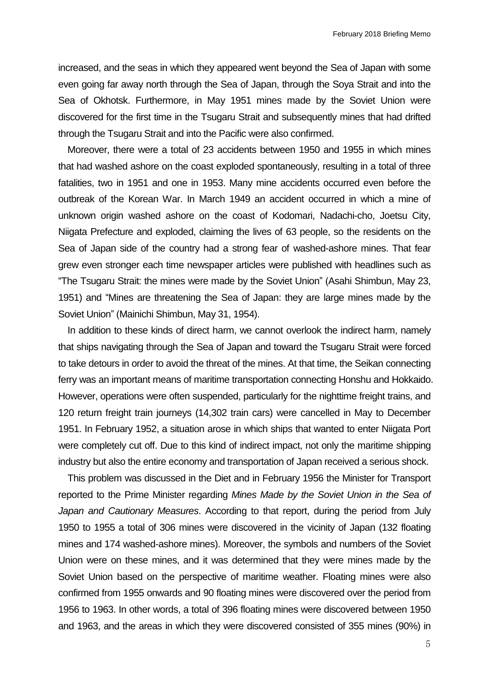increased, and the seas in which they appeared went beyond the Sea of Japan with some even going far away north through the Sea of Japan, through the Soya Strait and into the Sea of Okhotsk. Furthermore, in May 1951 mines made by the Soviet Union were discovered for the first time in the Tsugaru Strait and subsequently mines that had drifted through the Tsugaru Strait and into the Pacific were also confirmed.

Moreover, there were a total of 23 accidents between 1950 and 1955 in which mines that had washed ashore on the coast exploded spontaneously, resulting in a total of three fatalities, two in 1951 and one in 1953. Many mine accidents occurred even before the outbreak of the Korean War. In March 1949 an accident occurred in which a mine of unknown origin washed ashore on the coast of Kodomari, Nadachi-cho, Joetsu City, Niigata Prefecture and exploded, claiming the lives of 63 people, so the residents on the Sea of Japan side of the country had a strong fear of washed-ashore mines. That fear grew even stronger each time newspaper articles were published with headlines such as "The Tsugaru Strait: the mines were made by the Soviet Union" (Asahi Shimbun, May 23, 1951) and "Mines are threatening the Sea of Japan: they are large mines made by the Soviet Union" (Mainichi Shimbun, May 31, 1954).

In addition to these kinds of direct harm, we cannot overlook the indirect harm, namely that ships navigating through the Sea of Japan and toward the Tsugaru Strait were forced to take detours in order to avoid the threat of the mines. At that time, the Seikan connecting ferry was an important means of maritime transportation connecting Honshu and Hokkaido. However, operations were often suspended, particularly for the nighttime freight trains, and 120 return freight train journeys (14,302 train cars) were cancelled in May to December 1951. In February 1952, a situation arose in which ships that wanted to enter Niigata Port were completely cut off. Due to this kind of indirect impact, not only the maritime shipping industry but also the entire economy and transportation of Japan received a serious shock.

This problem was discussed in the Diet and in February 1956 the Minister for Transport reported to the Prime Minister regarding *Mines Made by the Soviet Union in the Sea of Japan and Cautionary Measures*. According to that report, during the period from July 1950 to 1955 a total of 306 mines were discovered in the vicinity of Japan (132 floating mines and 174 washed-ashore mines). Moreover, the symbols and numbers of the Soviet Union were on these mines, and it was determined that they were mines made by the Soviet Union based on the perspective of maritime weather. Floating mines were also confirmed from 1955 onwards and 90 floating mines were discovered over the period from 1956 to 1963. In other words, a total of 396 floating mines were discovered between 1950 and 1963, and the areas in which they were discovered consisted of 355 mines (90%) in

5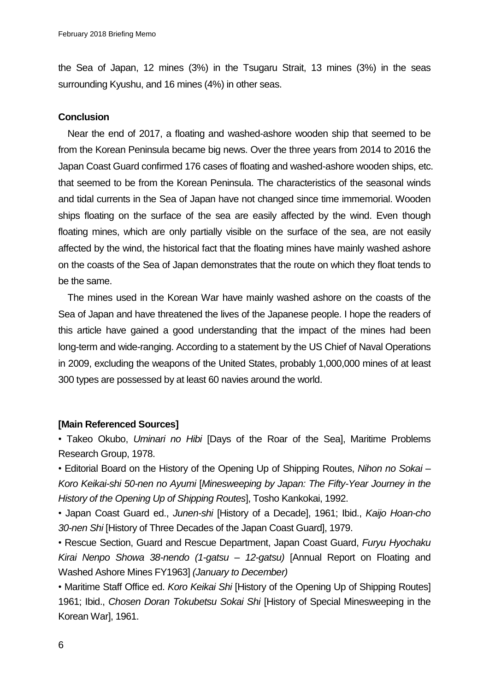the Sea of Japan, 12 mines (3%) in the Tsugaru Strait, 13 mines (3%) in the seas surrounding Kyushu, and 16 mines (4%) in other seas.

# **Conclusion**

Near the end of 2017, a floating and washed-ashore wooden ship that seemed to be from the Korean Peninsula became big news. Over the three years from 2014 to 2016 the Japan Coast Guard confirmed 176 cases of floating and washed-ashore wooden ships, etc. that seemed to be from the Korean Peninsula. The characteristics of the seasonal winds and tidal currents in the Sea of Japan have not changed since time immemorial. Wooden ships floating on the surface of the sea are easily affected by the wind. Even though floating mines, which are only partially visible on the surface of the sea, are not easily affected by the wind, the historical fact that the floating mines have mainly washed ashore on the coasts of the Sea of Japan demonstrates that the route on which they float tends to be the same.

The mines used in the Korean War have mainly washed ashore on the coasts of the Sea of Japan and have threatened the lives of the Japanese people. I hope the readers of this article have gained a good understanding that the impact of the mines had been long-term and wide-ranging. According to a statement by the US Chief of Naval Operations in 2009, excluding the weapons of the United States, probably 1,000,000 mines of at least 300 types are possessed by at least 60 navies around the world.

## **[Main Referenced Sources]**

• Takeo Okubo, *Uminari no Hibi* [Days of the Roar of the Sea], Maritime Problems Research Group, 1978.

• Editorial Board on the History of the Opening Up of Shipping Routes, *Nihon no Sokai – Koro Keikai-shi 50-nen no Ayumi* [*Minesweeping by Japan: The Fifty-Year Journey in the History of the Opening Up of Shipping Routes*], Tosho Kankokai, 1992.

• Japan Coast Guard ed., *Junen-shi* [History of a Decade], 1961; Ibid., *Kaijo Hoan-cho 30-nen Shi* [History of Three Decades of the Japan Coast Guard], 1979.

• Rescue Section, Guard and Rescue Department, Japan Coast Guard, *Furyu Hyochaku Kirai Nenpo Showa 38-nendo (1-gatsu – 12-gatsu)* [Annual Report on Floating and Washed Ashore Mines FY1963] *(January to December)*

• Maritime Staff Office ed. *Koro Keikai Shi* [History of the Opening Up of Shipping Routes] 1961; Ibid., *Chosen Doran Tokubetsu Sokai Shi* [History of Special Minesweeping in the Korean War], 1961.